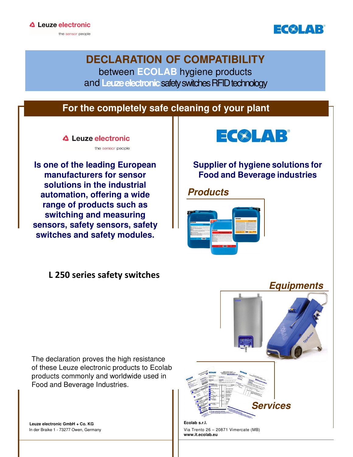

**DECLARATION OF COMPATIBILITY** between **ECOLAB** hygiene products and **Leuze electronic** safety switches RFID technology

## **For the completely safe cleaning of your plant**

△ Leuze electronic

**Is one of the leading European manufacturers for sensor solutions in the industrial automation, offering a wide range of products such as switching and measuring sensors, safety sensors, safety switches and safety modules.** 

#### L 250 series safety switches

the sensor people



#### **Supplier of hygiene solutions for Food and Beverage industries**

#### **Products**



## **Equipments**

The declaration proves the high resistance of these Leuze electronic products to Ecolab products commonly and worldwide used in Food and Beverage Industries.

 **Leuze electronic GmbH + Co. KG** In der Braike 1 - 73277 Owen, Germany